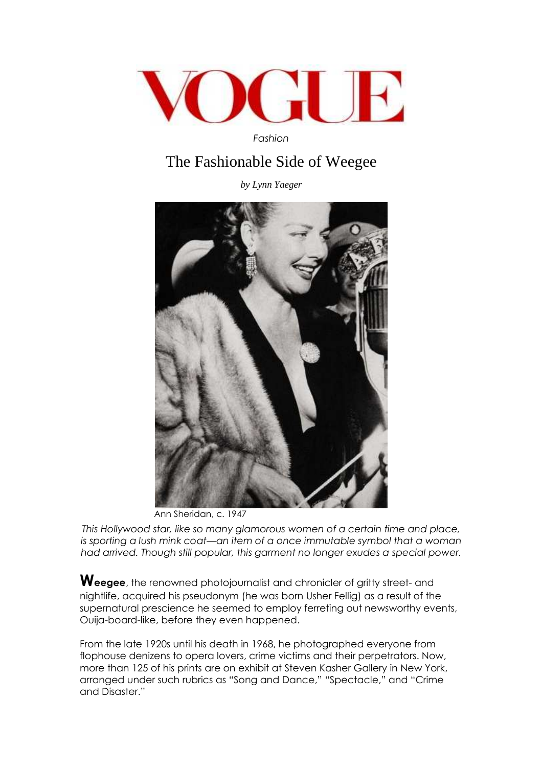

*Fashion* 

## The Fashionable Side of Weegee

*by Lynn Yaeger* 



Ann Sheridan, c. 1947

*This Hollywood star, like so many glamorous women of a certain time and place, is sporting a lush mink coat—an item of a once immutable symbol that a woman had arrived. Though still popular, this garment no longer exudes a special power.* 

**Weegee**, the renowned photojournalist and chronicler of gritty street- and nightlife, acquired his pseudonym (he was born Usher Fellig) as a result of the supernatural prescience he seemed to employ ferreting out newsworthy events, Ouija-board-like, before they even happened.

From the late 1920s until his death in 1968, he photographed everyone from flophouse denizens to opera lovers, crime victims and their perpetrators. Now, more than 125 of his prints are on exhibit at Steven Kasher Gallery in New York, arranged under such rubrics as "Song and Dance," "Spectacle," and "Crime and Disaster."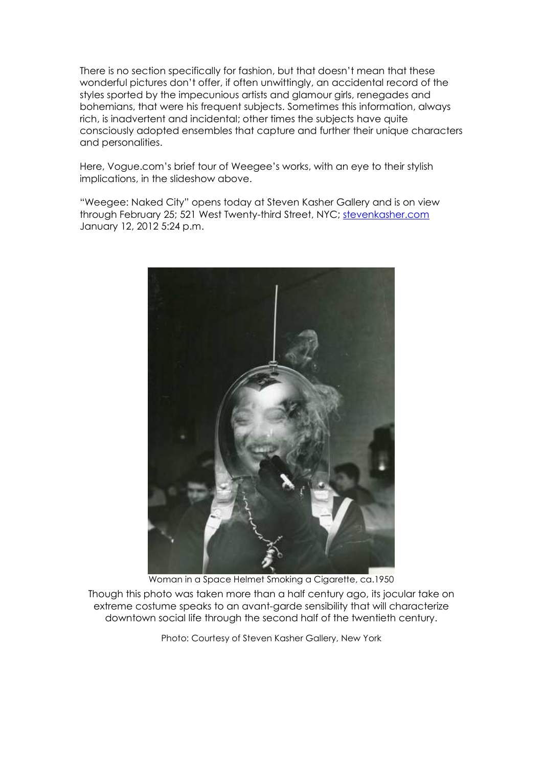There is no section specifically for fashion, but that doesn't mean that these wonderful pictures don't offer, if often unwittingly, an accidental record of the styles sported by the impecunious artists and glamour girls, renegades and bohemians, that were his frequent subjects. Sometimes this information, always rich, is inadvertent and incidental; other times the subjects have quite consciously adopted ensembles that capture and further their unique characters and personalities.

Here, Vogue.com's brief tour of Weegee's works, with an eye to their stylish implications, in the slideshow above.

"Weegee: Naked City" opens today at Steven Kasher Gallery and is on view through February 25; 521 West Twenty-third Street, NYC; stevenkasher.com January 12, 2012 5:24 p.m.



Woman in a Space Helmet Smoking a Cigarette, ca.1950

Though this photo was taken more than a half century ago, its jocular take on extreme costume speaks to an avant-garde sensibility that will characterize downtown social life through the second half of the twentieth century.

Photo: Courtesy of Steven Kasher Gallery, New York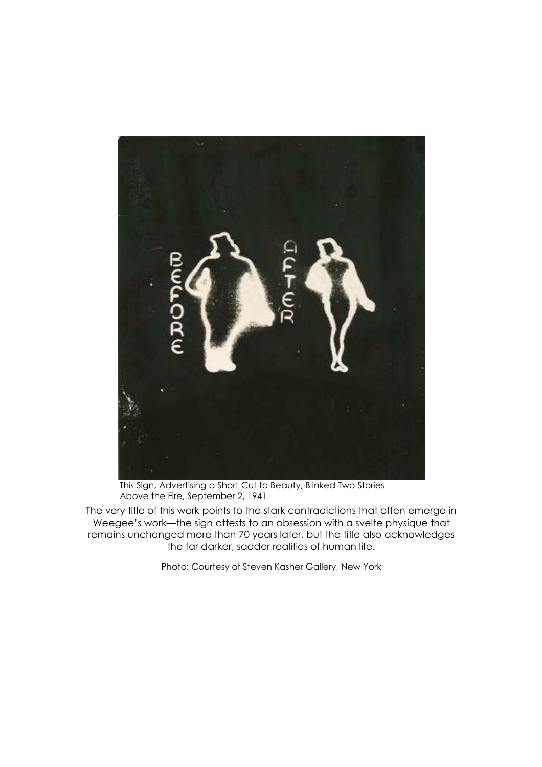

This Sign, Advertising a Short Cut to Beauty, Blinked Two Stories Above the Fire, September 2, 1941

The very title of this work points to the stark contradictions that often emerge in Weegee's work—the sign attests to an obsession with a svelte physique that remains unchanged more than 70 years later, but the title also acknowledges the far darker, sadder realities of human life.

Photo: Courtesy of Steven Kasher Gallery, New York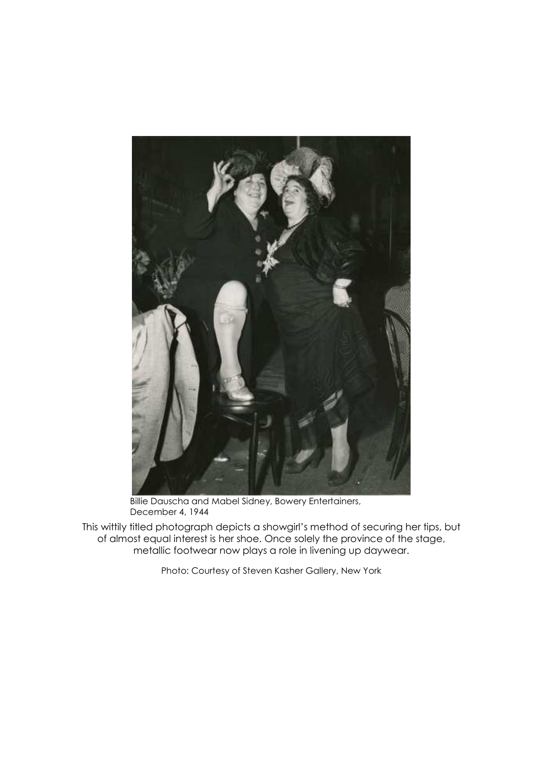

 Billie Dauscha and Mabel Sidney, Bowery Entertainers, December 4, 1944

This wittily titled photograph depicts a showgirl's method of securing her tips, but of almost equal interest is her shoe. Once solely the province of the stage, metallic footwear now plays a role in livening up daywear.

Photo: Courtesy of Steven Kasher Gallery, New York